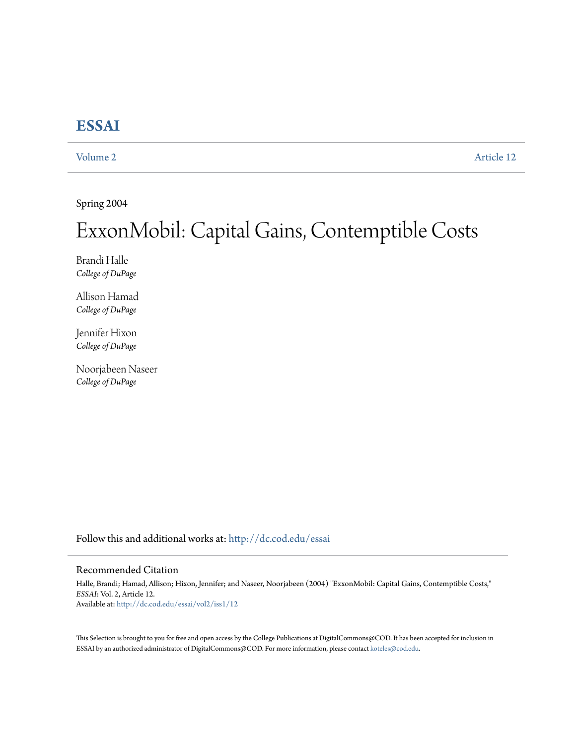## **[ESSAI](http://dc.cod.edu/essai?utm_source=dc.cod.edu%2Fessai%2Fvol2%2Fiss1%2F12&utm_medium=PDF&utm_campaign=PDFCoverPages)**

[Volume 2](http://dc.cod.edu/essai/vol2?utm_source=dc.cod.edu%2Fessai%2Fvol2%2Fiss1%2F12&utm_medium=PDF&utm_campaign=PDFCoverPages) [Article 12](http://dc.cod.edu/essai/vol2/iss1/12?utm_source=dc.cod.edu%2Fessai%2Fvol2%2Fiss1%2F12&utm_medium=PDF&utm_campaign=PDFCoverPages)

Spring 2004

# ExxonMobil: Capital Gains, Contemptible Costs

Brandi Halle *College of DuPage*

Allison Hamad *College of DuPage*

Jennifer Hixon *College of DuPage*

Noorjabeen Naseer *College of DuPage*

Follow this and additional works at: [http://dc.cod.edu/essai](http://dc.cod.edu/essai?utm_source=dc.cod.edu%2Fessai%2Fvol2%2Fiss1%2F12&utm_medium=PDF&utm_campaign=PDFCoverPages)

#### Recommended Citation

Halle, Brandi; Hamad, Allison; Hixon, Jennifer; and Naseer, Noorjabeen (2004) "ExxonMobil: Capital Gains, Contemptible Costs," *ESSAI*: Vol. 2, Article 12. Available at: [http://dc.cod.edu/essai/vol2/iss1/12](http://dc.cod.edu/essai/vol2/iss1/12?utm_source=dc.cod.edu%2Fessai%2Fvol2%2Fiss1%2F12&utm_medium=PDF&utm_campaign=PDFCoverPages)

This Selection is brought to you for free and open access by the College Publications at DigitalCommons@COD. It has been accepted for inclusion in ESSAI by an authorized administrator of DigitalCommons@COD. For more information, please contact [koteles@cod.edu](mailto:koteles@cod.edu).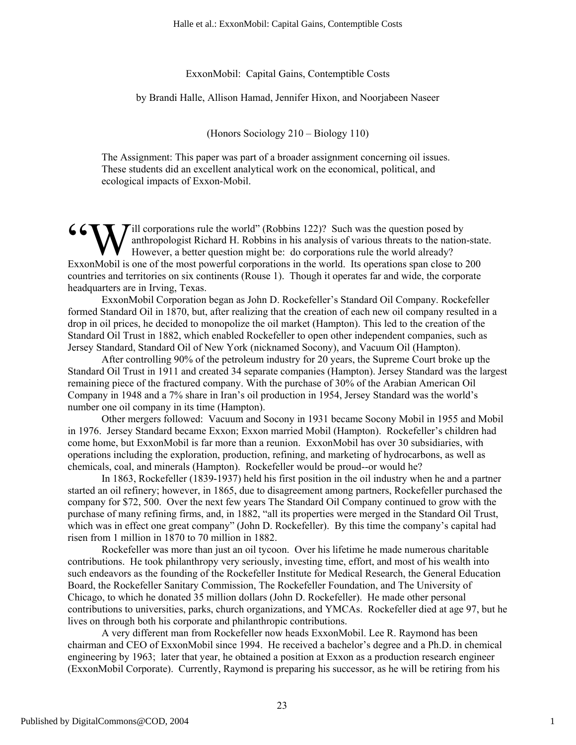#### ExxonMobil: Capital Gains, Contemptible Costs

by Brandi Halle, Allison Hamad, Jennifer Hixon, and Noorjabeen Naseer

(Honors Sociology 210 – Biology 110)

The Assignment: This paper was part of a broader assignment concerning oil issues. These students did an excellent analytical work on the economical, political, and ecological impacts of Exxon-Mobil.

**6 CONT** ill corporations rule the world" (Robbins 122)? Such was the question posed by anthropologist Richard H. Robbins in his analysis of various threats to the nation However, a better question might be: do corporation anthropologist Richard H. Robbins in his analysis of various threats to the nation-state. However, a better question might be: do corporations rule the world already? ExxonMobil is one of the most powerful corporations in the world. Its operations span close to 200 countries and territories on six continents (Rouse 1). Though it operates far and wide, the corporate headquarters are in Irving, Texas.

ExxonMobil Corporation began as John D. Rockefeller's Standard Oil Company. Rockefeller formed Standard Oil in 1870, but, after realizing that the creation of each new oil company resulted in a drop in oil prices, he decided to monopolize the oil market (Hampton). This led to the creation of the Standard Oil Trust in 1882, which enabled Rockefeller to open other independent companies, such as Jersey Standard, Standard Oil of New York (nicknamed Socony), and Vacuum Oil (Hampton).

After controlling 90% of the petroleum industry for 20 years, the Supreme Court broke up the Standard Oil Trust in 1911 and created 34 separate companies (Hampton). Jersey Standard was the largest remaining piece of the fractured company. With the purchase of 30% of the Arabian American Oil Company in 1948 and a 7% share in Iran's oil production in 1954, Jersey Standard was the world's number one oil company in its time (Hampton).

Other mergers followed: Vacuum and Socony in 1931 became Socony Mobil in 1955 and Mobil in 1976. Jersey Standard became Exxon; Exxon married Mobil (Hampton). Rockefeller's children had come home, but ExxonMobil is far more than a reunion. ExxonMobil has over 30 subsidiaries, with operations including the exploration, production, refining, and marketing of hydrocarbons, as well as chemicals, coal, and minerals (Hampton). Rockefeller would be proud--or would he?

In 1863, Rockefeller (1839-1937) held his first position in the oil industry when he and a partner started an oil refinery; however, in 1865, due to disagreement among partners, Rockefeller purchased the company for \$72, 500. Over the next few years The Standard Oil Company continued to grow with the purchase of many refining firms, and, in 1882, "all its properties were merged in the Standard Oil Trust, which was in effect one great company" (John D. Rockefeller). By this time the company's capital had risen from 1 million in 1870 to 70 million in 1882.

Rockefeller was more than just an oil tycoon. Over his lifetime he made numerous charitable contributions. He took philanthropy very seriously, investing time, effort, and most of his wealth into such endeavors as the founding of the Rockefeller Institute for Medical Research, the General Education Board, the Rockefeller Sanitary Commission, The Rockefeller Foundation, and The University of Chicago, to which he donated 35 million dollars (John D. Rockefeller). He made other personal contributions to universities, parks, church organizations, and YMCAs. Rockefeller died at age 97, but he lives on through both his corporate and philanthropic contributions.

A very different man from Rockefeller now heads ExxonMobil. Lee R. Raymond has been chairman and CEO of ExxonMobil since 1994. He received a bachelor's degree and a Ph.D. in chemical engineering by 1963; later that year, he obtained a position at Exxon as a production research engineer (ExxonMobil Corporate). Currently, Raymond is preparing his successor, as he will be retiring from his

1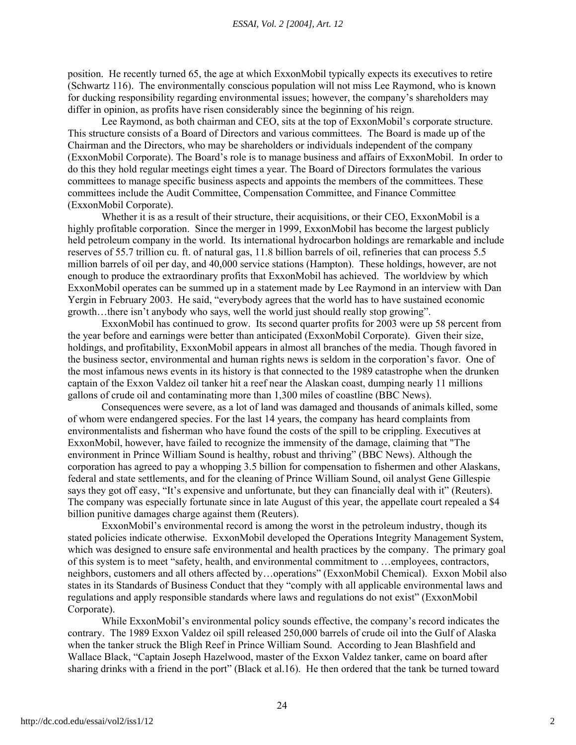#### *ESSAI, Vol. 2 [2004], Art. 12*

position. He recently turned 65, the age at which ExxonMobil typically expects its executives to retire (Schwartz 116). The environmentally conscious population will not miss Lee Raymond, who is known for ducking responsibility regarding environmental issues; however, the company's shareholders may differ in opinion, as profits have risen considerably since the beginning of his reign.

Lee Raymond, as both chairman and CEO, sits at the top of ExxonMobil's corporate structure. This structure consists of a Board of Directors and various committees. The Board is made up of the Chairman and the Directors, who may be shareholders or individuals independent of the company (ExxonMobil Corporate). The Board's role is to manage business and affairs of ExxonMobil. In order to do this they hold regular meetings eight times a year. The Board of Directors formulates the various committees to manage specific business aspects and appoints the members of the committees. These committees include the Audit Committee, Compensation Committee, and Finance Committee (ExxonMobil Corporate).

Whether it is as a result of their structure, their acquisitions, or their CEO, ExxonMobil is a highly profitable corporation. Since the merger in 1999, ExxonMobil has become the largest publicly held petroleum company in the world. Its international hydrocarbon holdings are remarkable and include reserves of 55.7 trillion cu. ft. of natural gas, 11.8 billion barrels of oil, refineries that can process 5.5 million barrels of oil per day, and 40,000 service stations (Hampton). These holdings, however, are not enough to produce the extraordinary profits that ExxonMobil has achieved. The worldview by which ExxonMobil operates can be summed up in a statement made by Lee Raymond in an interview with Dan Yergin in February 2003. He said, "everybody agrees that the world has to have sustained economic growth…there isn't anybody who says, well the world just should really stop growing".

ExxonMobil has continued to grow. Its second quarter profits for 2003 were up 58 percent from the year before and earnings were better than anticipated (ExxonMobil Corporate). Given their size, holdings, and profitability, ExxonMobil appears in almost all branches of the media. Though favored in the business sector, environmental and human rights news is seldom in the corporation's favor. One of the most infamous news events in its history is that connected to the 1989 catastrophe when the drunken captain of the Exxon Valdez oil tanker hit a reef near the Alaskan coast, dumping nearly 11 millions gallons of crude oil and contaminating more than 1,300 miles of coastline (BBC News).

Consequences were severe, as a lot of land was damaged and thousands of animals killed, some of whom were endangered species. For the last 14 years, the company has heard complaints from environmentalists and fisherman who have found the costs of the spill to be crippling. Executives at ExxonMobil, however, have failed to recognize the immensity of the damage, claiming that "The environment in Prince William Sound is healthy, robust and thriving" (BBC News). Although the corporation has agreed to pay a whopping 3.5 billion for compensation to fishermen and other Alaskans, federal and state settlements, and for the cleaning of Prince William Sound, oil analyst Gene Gillespie says they got off easy, "It's expensive and unfortunate, but they can financially deal with it" (Reuters). The company was especially fortunate since in late August of this year, the appellate court repealed a \$4 billion punitive damages charge against them (Reuters).

ExxonMobil's environmental record is among the worst in the petroleum industry, though its stated policies indicate otherwise. ExxonMobil developed the Operations Integrity Management System, which was designed to ensure safe environmental and health practices by the company. The primary goal of this system is to meet "safety, health, and environmental commitment to …employees, contractors, neighbors, customers and all others affected by…operations" (ExxonMobil Chemical). Exxon Mobil also states in its Standards of Business Conduct that they "comply with all applicable environmental laws and regulations and apply responsible standards where laws and regulations do not exist" (ExxonMobil Corporate).

While ExxonMobil's environmental policy sounds effective, the company's record indicates the contrary. The 1989 Exxon Valdez oil spill released 250,000 barrels of crude oil into the Gulf of Alaska when the tanker struck the Bligh Reef in Prince William Sound. According to Jean Blashfield and Wallace Black, "Captain Joseph Hazelwood, master of the Exxon Valdez tanker, came on board after sharing drinks with a friend in the port" (Black et al.16). He then ordered that the tank be turned toward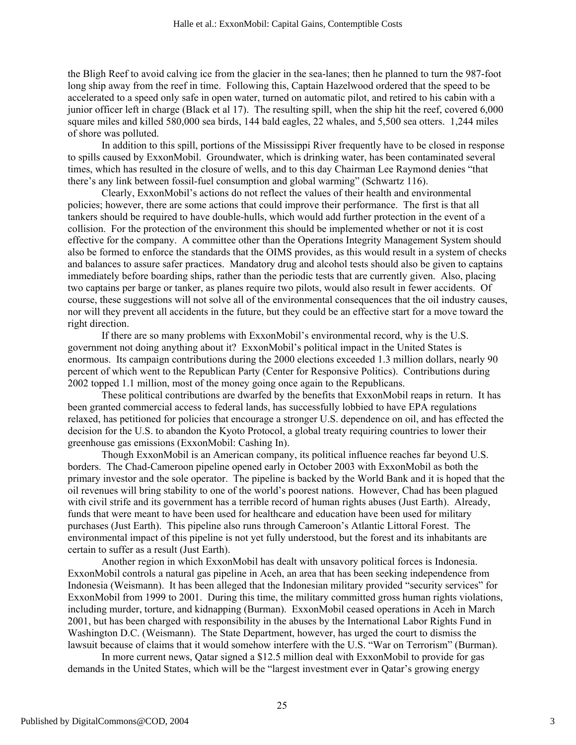the Bligh Reef to avoid calving ice from the glacier in the sea-lanes; then he planned to turn the 987-foot long ship away from the reef in time. Following this, Captain Hazelwood ordered that the speed to be accelerated to a speed only safe in open water, turned on automatic pilot, and retired to his cabin with a junior officer left in charge (Black et al 17). The resulting spill, when the ship hit the reef, covered 6,000 square miles and killed 580,000 sea birds, 144 bald eagles, 22 whales, and 5,500 sea otters. 1,244 miles of shore was polluted.

In addition to this spill, portions of the Mississippi River frequently have to be closed in response to spills caused by ExxonMobil. Groundwater, which is drinking water, has been contaminated several times, which has resulted in the closure of wells, and to this day Chairman Lee Raymond denies "that there's any link between fossil-fuel consumption and global warming" (Schwartz 116).

Clearly, ExxonMobil's actions do not reflect the values of their health and environmental policies; however, there are some actions that could improve their performance. The first is that all tankers should be required to have double-hulls, which would add further protection in the event of a collision. For the protection of the environment this should be implemented whether or not it is cost effective for the company. A committee other than the Operations Integrity Management System should also be formed to enforce the standards that the OIMS provides, as this would result in a system of checks and balances to assure safer practices. Mandatory drug and alcohol tests should also be given to captains immediately before boarding ships, rather than the periodic tests that are currently given. Also, placing two captains per barge or tanker, as planes require two pilots, would also result in fewer accidents. Of course, these suggestions will not solve all of the environmental consequences that the oil industry causes, nor will they prevent all accidents in the future, but they could be an effective start for a move toward the right direction.

If there are so many problems with ExxonMobil's environmental record, why is the U.S. government not doing anything about it? ExxonMobil's political impact in the United States is enormous. Its campaign contributions during the 2000 elections exceeded 1.3 million dollars, nearly 90 percent of which went to the Republican Party (Center for Responsive Politics). Contributions during 2002 topped 1.1 million, most of the money going once again to the Republicans.

These political contributions are dwarfed by the benefits that ExxonMobil reaps in return. It has been granted commercial access to federal lands, has successfully lobbied to have EPA regulations relaxed, has petitioned for policies that encourage a stronger U.S. dependence on oil, and has effected the decision for the U.S. to abandon the Kyoto Protocol, a global treaty requiring countries to lower their greenhouse gas emissions (ExxonMobil: Cashing In).

Though ExxonMobil is an American company, its political influence reaches far beyond U.S. borders. The Chad-Cameroon pipeline opened early in October 2003 with ExxonMobil as both the primary investor and the sole operator. The pipeline is backed by the World Bank and it is hoped that the oil revenues will bring stability to one of the world's poorest nations. However, Chad has been plagued with civil strife and its government has a terrible record of human rights abuses (Just Earth). Already, funds that were meant to have been used for healthcare and education have been used for military purchases (Just Earth). This pipeline also runs through Cameroon's Atlantic Littoral Forest. The environmental impact of this pipeline is not yet fully understood, but the forest and its inhabitants are certain to suffer as a result (Just Earth).

Another region in which ExxonMobil has dealt with unsavory political forces is Indonesia. ExxonMobil controls a natural gas pipeline in Aceh, an area that has been seeking independence from Indonesia (Weismann). It has been alleged that the Indonesian military provided "security services" for ExxonMobil from 1999 to 2001. During this time, the military committed gross human rights violations, including murder, torture, and kidnapping (Burman). ExxonMobil ceased operations in Aceh in March 2001, but has been charged with responsibility in the abuses by the International Labor Rights Fund in Washington D.C. (Weismann). The State Department, however, has urged the court to dismiss the lawsuit because of claims that it would somehow interfere with the U.S. "War on Terrorism" (Burman).

In more current news, Qatar signed a \$12.5 million deal with ExxonMobil to provide for gas demands in the United States, which will be the "largest investment ever in Qatar's growing energy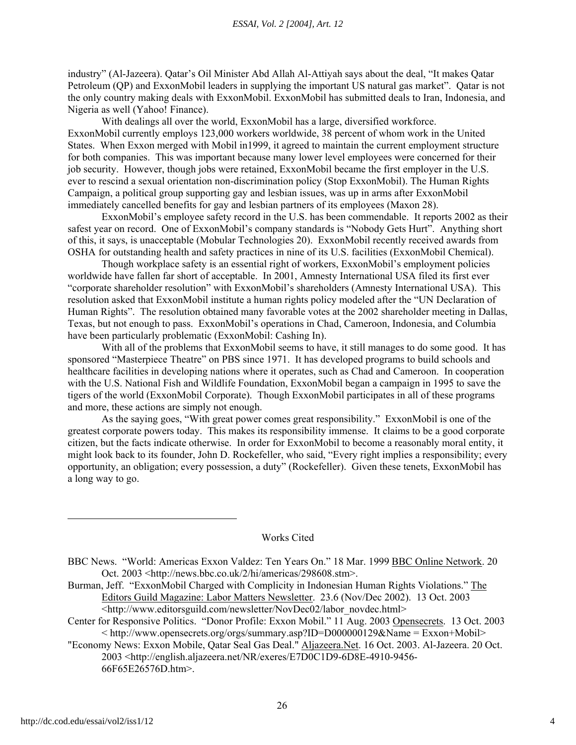industry" (Al-Jazeera). Qatar's Oil Minister Abd Allah Al-Attiyah says about the deal, "It makes Qatar Petroleum (QP) and ExxonMobil leaders in supplying the important US natural gas market". Qatar is not the only country making deals with ExxonMobil. ExxonMobil has submitted deals to Iran, Indonesia, and Nigeria as well (Yahoo! Finance).

With dealings all over the world, ExxonMobil has a large, diversified workforce. ExxonMobil currently employs 123,000 workers worldwide, 38 percent of whom work in the United States. When Exxon merged with Mobil in1999, it agreed to maintain the current employment structure for both companies. This was important because many lower level employees were concerned for their job security. However, though jobs were retained, ExxonMobil became the first employer in the U.S. ever to rescind a sexual orientation non-discrimination policy (Stop ExxonMobil). The Human Rights Campaign, a political group supporting gay and lesbian issues, was up in arms after ExxonMobil immediately cancelled benefits for gay and lesbian partners of its employees (Maxon 28).

ExxonMobil's employee safety record in the U.S. has been commendable. It reports 2002 as their safest year on record. One of ExxonMobil's company standards is "Nobody Gets Hurt". Anything short of this, it says, is unacceptable (Mobular Technologies 20). ExxonMobil recently received awards from OSHA for outstanding health and safety practices in nine of its U.S. facilities (ExxonMobil Chemical).

Though workplace safety is an essential right of workers, ExxonMobil's employment policies worldwide have fallen far short of acceptable. In 2001, Amnesty International USA filed its first ever "corporate shareholder resolution" with ExxonMobil's shareholders (Amnesty International USA). This resolution asked that ExxonMobil institute a human rights policy modeled after the "UN Declaration of Human Rights". The resolution obtained many favorable votes at the 2002 shareholder meeting in Dallas, Texas, but not enough to pass. ExxonMobil's operations in Chad, Cameroon, Indonesia, and Columbia have been particularly problematic (ExxonMobil: Cashing In).

With all of the problems that ExxonMobil seems to have, it still manages to do some good. It has sponsored "Masterpiece Theatre" on PBS since 1971. It has developed programs to build schools and healthcare facilities in developing nations where it operates, such as Chad and Cameroon. In cooperation with the U.S. National Fish and Wildlife Foundation, ExxonMobil began a campaign in 1995 to save the tigers of the world (ExxonMobil Corporate). Though ExxonMobil participates in all of these programs and more, these actions are simply not enough.

As the saying goes, "With great power comes great responsibility." ExxonMobil is one of the greatest corporate powers today. This makes its responsibility immense. It claims to be a good corporate citizen, but the facts indicate otherwise. In order for ExxonMobil to become a reasonably moral entity, it might look back to its founder, John D. Rockefeller, who said, "Every right implies a responsibility; every opportunity, an obligation; every possession, a duty" (Rockefeller). Given these tenets, ExxonMobil has a long way to go.

### Works Cited

- Burman, Jeff. "ExxonMobil Charged with Complicity in Indonesian Human Rights Violations." The Editors Guild Magazine: Labor Matters Newsletter. 23.6 (Nov/Dec 2002). 13 Oct. 2003 <http://www.editorsguild.com/newsletter/NovDec02/labor\_novdec.html>
- Center for Responsive Politics. "Donor Profile: Exxon Mobil." 11 Aug. 2003 Opensecrets. 13 Oct. 2003  $\langle \text{http://www.opensecrets.org/orgs/summary.asp?ID=DO00000129&Name = Exxon+Mobil>$
- "Economy News: Exxon Mobile, Qatar Seal Gas Deal." Aljazeera.Net. 16 Oct. 2003. Al-Jazeera. 20 Oct. 2003 <http://english.aljazeera.net/NR/exeres/E7D0C1D9-6D8E-4910-9456- 66F65E26576D.htm>.

BBC News. "World: Americas Exxon Valdez: Ten Years On." 18 Mar. 1999 BBC Online Network. 20 Oct. 2003 <http://news.bbc.co.uk/2/hi/americas/298608.stm>.